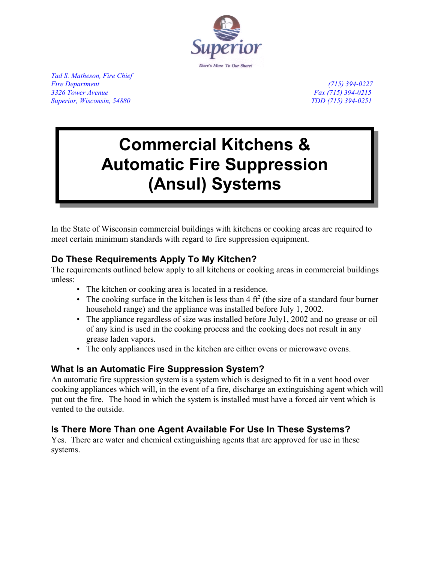

*Tad S. Matheson, Fire Chief Fire Department (715) 394-0227 3326 Tower Avenue Fax (715) 394-0215 Superior, Wisconsin, 54880 TDD (715) 394-0251*

# **Commercial Kitchens & Automatic Fire Suppression (Ansul) Systems**

In the State of Wisconsin commercial buildings with kitchens or cooking areas are required to meet certain minimum standards with regard to fire suppression equipment.

# **Do These Requirements Apply To My Kitchen?**

The requirements outlined below apply to all kitchens or cooking areas in commercial buildings unless:

- The kitchen or cooking area is located in a residence.
- The cooking surface in the kitchen is less than  $4 \text{ ft}^2$  (the size of a standard four burner household range) and the appliance was installed before July 1, 2002.
- The appliance regardless of size was installed before July1, 2002 and no grease or oil of any kind is used in the cooking process and the cooking does not result in any grease laden vapors.
- The only appliances used in the kitchen are either ovens or microwave ovens.

## **What Is an Automatic Fire Suppression System?**

An automatic fire suppression system is a system which is designed to fit in a vent hood over cooking appliances which will, in the event of a fire, discharge an extinguishing agent which will put out the fire. The hood in which the system is installed must have a forced air vent which is vented to the outside.

# **Is There More Than one Agent Available For Use In These Systems?**

Yes. There are water and chemical extinguishing agents that are approved for use in these systems.